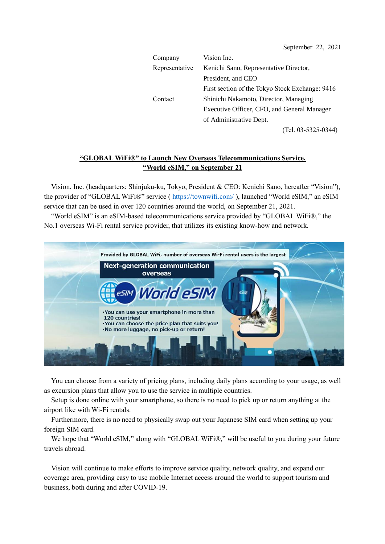| Company        | Vision Inc.                                     |
|----------------|-------------------------------------------------|
| Representative | Kenichi Sano, Representative Director,          |
|                | President, and CEO                              |
|                | First section of the Tokyo Stock Exchange: 9416 |
| Contact        | Shinichi Nakamoto, Director, Managing           |
|                | Executive Officer, CFO, and General Manager     |
|                | of Administrative Dept.                         |
|                | $(Tel. 03-5325-0344)$                           |

### **"GLOBAL WiFi®" to Launch New Overseas Telecommunications Service, "World eSIM," on September 21**

Vision, Inc. (headquarters: Shinjuku-ku, Tokyo, President & CEO: Kenichi Sano, hereafter "Vision"), the provider of "GLOBAL WiFi®" service (<https://townwifi.com/>), launched "World eSIM," an eSIM service that can be used in over 120 countries around the world, on September 21, 2021.

"World eSIM" is an eSIM-based telecommunications service provided by "GLOBAL WiFi®," the No.1 overseas Wi-Fi rental service provider, that utilizes its existing know-how and network.



You can choose from a variety of pricing plans, including daily plans according to your usage, as well as excursion plans that allow you to use the service in multiple countries.

Setup is done online with your smartphone, so there is no need to pick up or return anything at the airport like with Wi-Fi rentals.

Furthermore, there is no need to physically swap out your Japanese SIM card when setting up your foreign SIM card.

We hope that "World eSIM," along with "GLOBAL WiFi®," will be useful to you during your future travels abroad.

Vision will continue to make efforts to improve service quality, network quality, and expand our coverage area, providing easy to use mobile Internet access around the world to support tourism and business, both during and after COVID-19.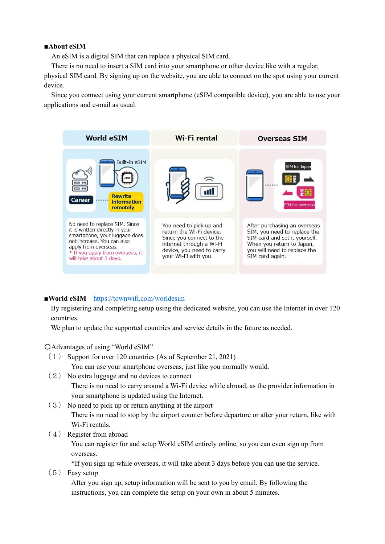#### **■About eSIM**

An eSIM is a digital SIM that can replace a physical SIM card.

There is no need to insert a SIM card into your smartphone or other device like with a regular,

physical SIM card. By signing up on the website, you are able to connect on the spot using your current device.

Since you connect using your current smartphone (eSIM compatible device), you are able to use your applications and e-mail as usual.



### **■World eSIM** <https://townwifi.com/worldesim>

By registering and completing setup using the dedicated website, you can use the Internet in over 120 countries.

We plan to update the supported countries and service details in the future as needed.

〇Advantages of using "World eSIM"

- (1) Support for over 120 countries (As of September 21, 2021) You can use your smartphone overseas, just like you normally would.
- (2) No extra luggage and no devices to connect There is no need to carry around a Wi-Fi device while abroad, as the provider information in your smartphone is updated using the Internet.
- (3) No need to pick up or return anything at the airport There is no need to stop by the airport counter before departure or after your return, like with Wi-Fi rentals.
- (4) Register from abroad

You can register for and setup World eSIM entirely online, so you can even sign up from overseas.

\*If you sign up while overseas, it will take about 3 days before you can use the service.

(5) Easy setup

After you sign up, setup information will be sent to you by email. By following the instructions, you can complete the setup on your own in about 5 minutes.